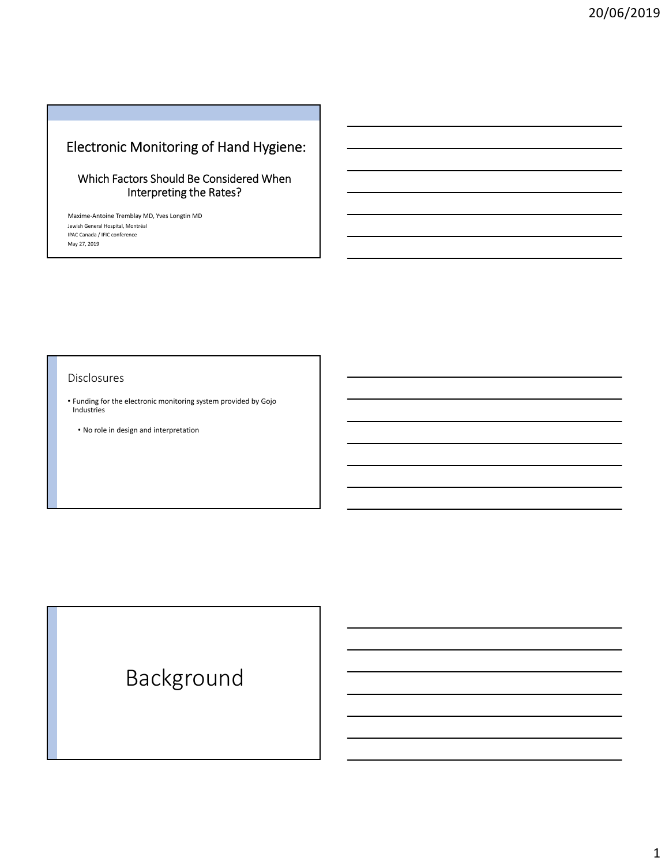## Electronic Monitoring of Hand Hygiene:

### Which Factors Should Be Considered When Interpreting the Rates?

Maxime‐Antoine Tremblay MD, Yves Longtin MD Jewish General Hospital, Montréal IPAC Canada / IFIC conference May 27, 2019

#### Disclosures

- Funding for the electronic monitoring system provided by Gojo Industries
- No role in design and interpretation

# Background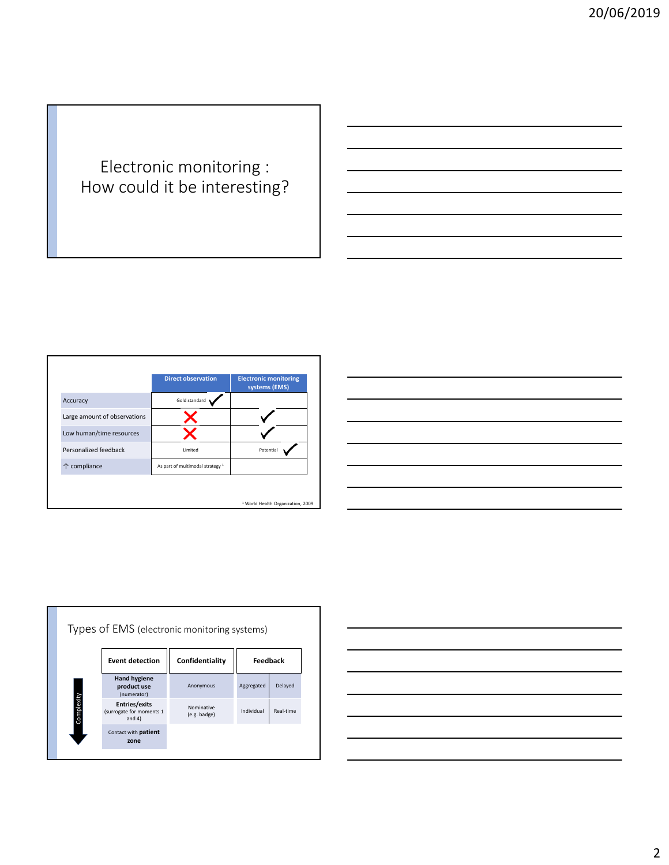## Electronic monitoring : How could it be interesting?

|                              | <b>Direct observation</b>                   | <b>Electronic monitoring</b><br>systems (EMS) |
|------------------------------|---------------------------------------------|-----------------------------------------------|
| Accuracy                     | Gold standard                               |                                               |
| Large amount of observations |                                             |                                               |
| Low human/time resources     |                                             |                                               |
| Personalized feedback        | Limited                                     | Potential                                     |
| ↑ compliance                 | As part of multimodal strategy <sup>1</sup> |                                               |
|                              |                                             |                                               |
|                              |                                             | <sup>1</sup> World Health Organization, 2009  |





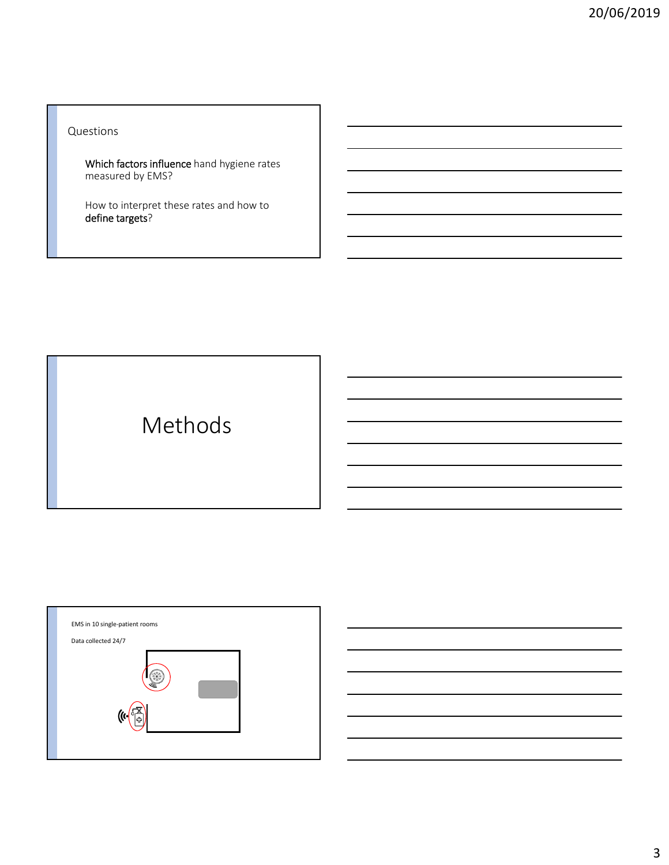Questions

Which factors influence hand hygiene rates measured by EMS?

How to interpret these rates and how to define targets?

Methods

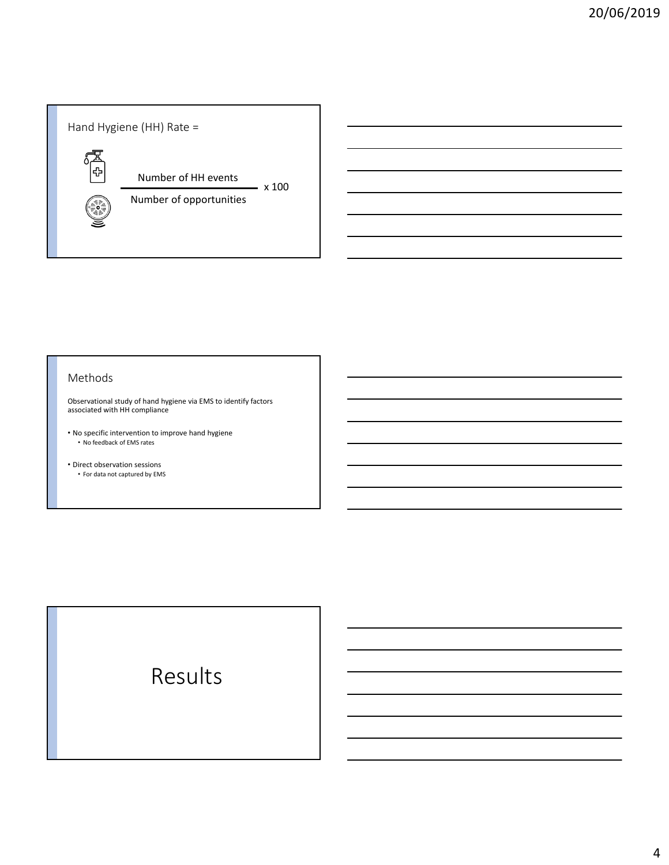

#### Methods

Observational study of hand hygiene via EMS to identify factors associated with HH compliance

- No specific intervention to improve hand hygiene • No feedback of EMS rates
- Direct observation sessions • For data not captured by EMS

# Results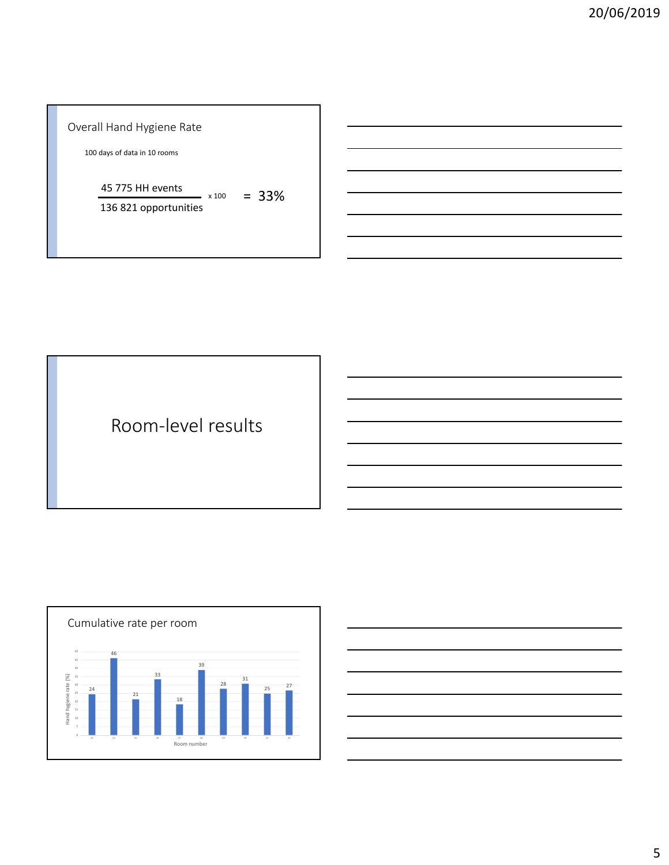### Overall Hand Hygiene Rate

days of data in 10 rooms

 $45\,775$  HH events  $x_{100} = 33\%$ 

821 opportunities

Room‐level results



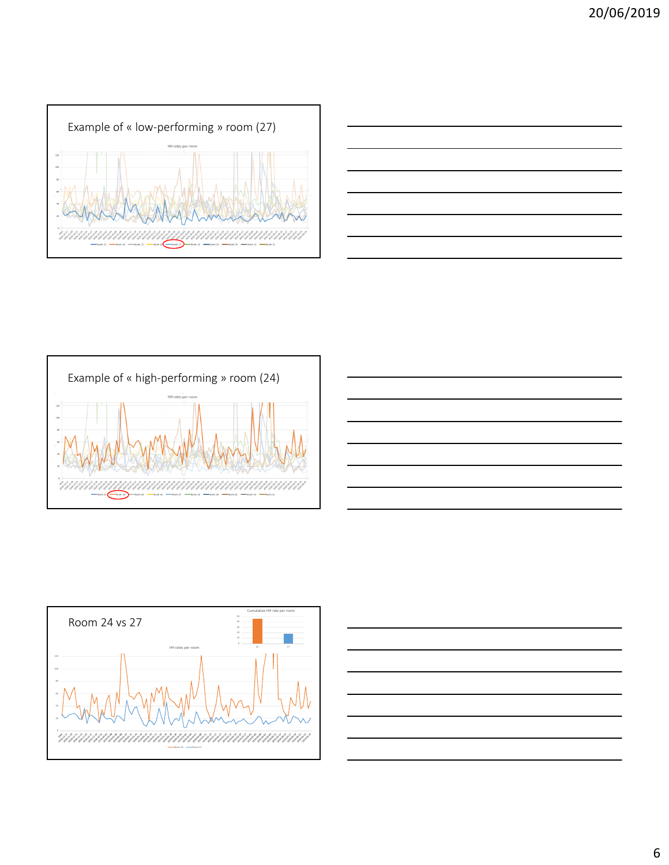









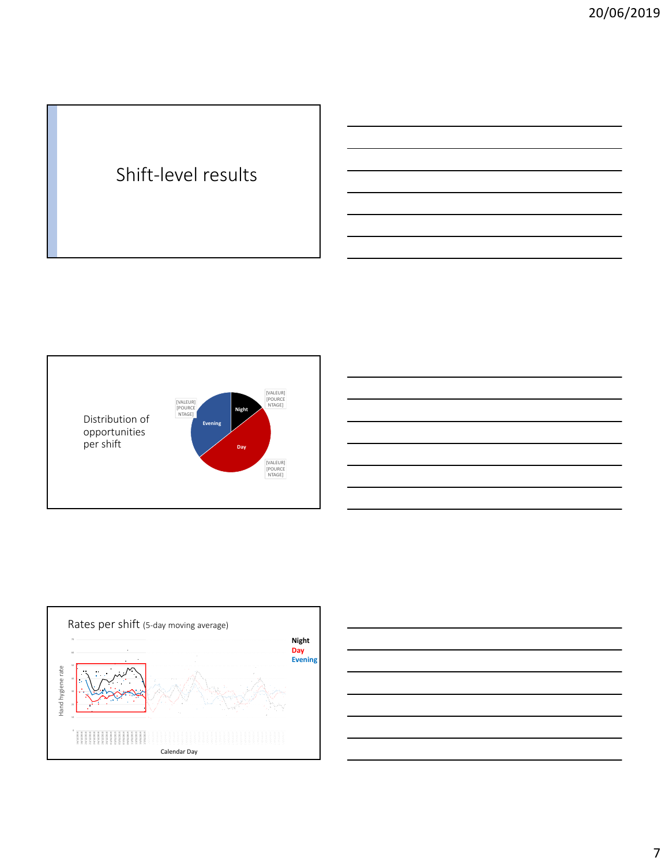# Shift‐level results





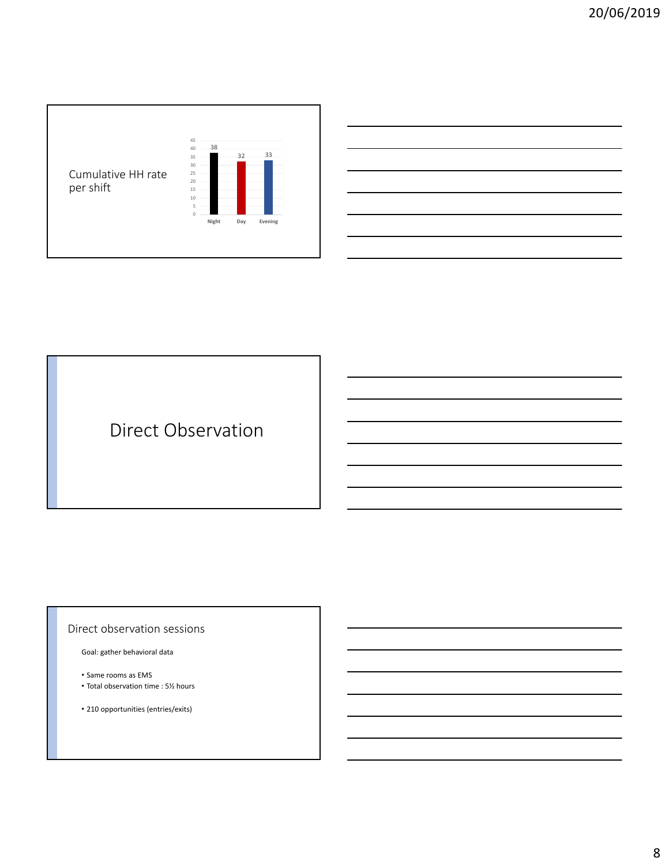

# Direct Observation

#### Direct observation sessions

Goal: gather behavioral data

- Same rooms as EMS
- Total observation time : 5½ hours

• 210 opportunities (entries/exits)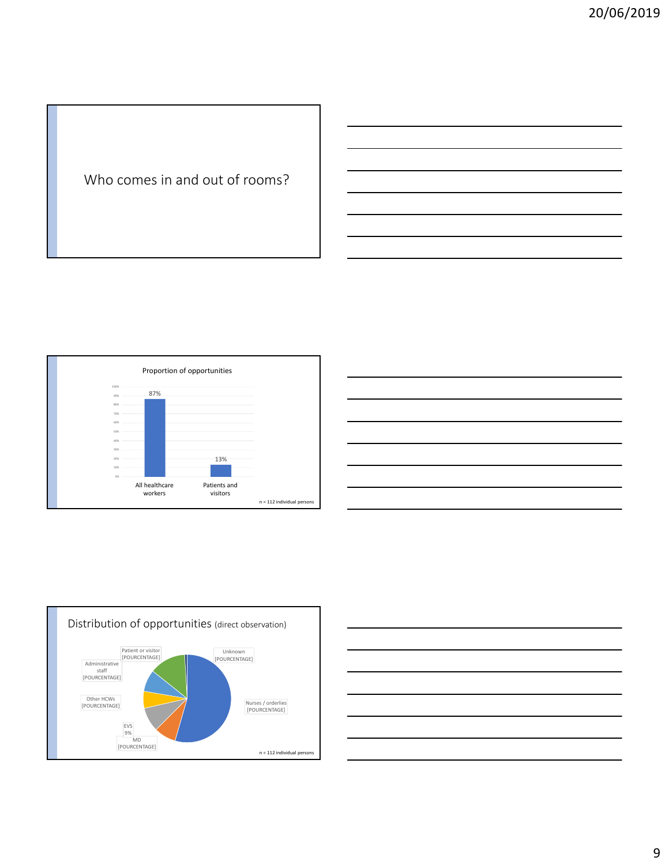## Who comes in and out of rooms?



| the contract of the contract of the contract of the contract of the contract of the contract of the contract of<br><u> 1988 - Johann Stoff, amerikansk foarmen fan de ferskearre fan de ferskearre fan de ferskearre fan de ferskear</u> |                                                                                                                                                                                                                               | $\overline{\phantom{a}}$          |
|------------------------------------------------------------------------------------------------------------------------------------------------------------------------------------------------------------------------------------------|-------------------------------------------------------------------------------------------------------------------------------------------------------------------------------------------------------------------------------|-----------------------------------|
|                                                                                                                                                                                                                                          |                                                                                                                                                                                                                               |                                   |
|                                                                                                                                                                                                                                          |                                                                                                                                                                                                                               |                                   |
|                                                                                                                                                                                                                                          |                                                                                                                                                                                                                               |                                   |
|                                                                                                                                                                                                                                          | the control of the control of the control of the control of the control of the control of the control of the control of the control of the control of the control of the control of the control of the control of the control | and the control of the control of |
|                                                                                                                                                                                                                                          |                                                                                                                                                                                                                               |                                   |



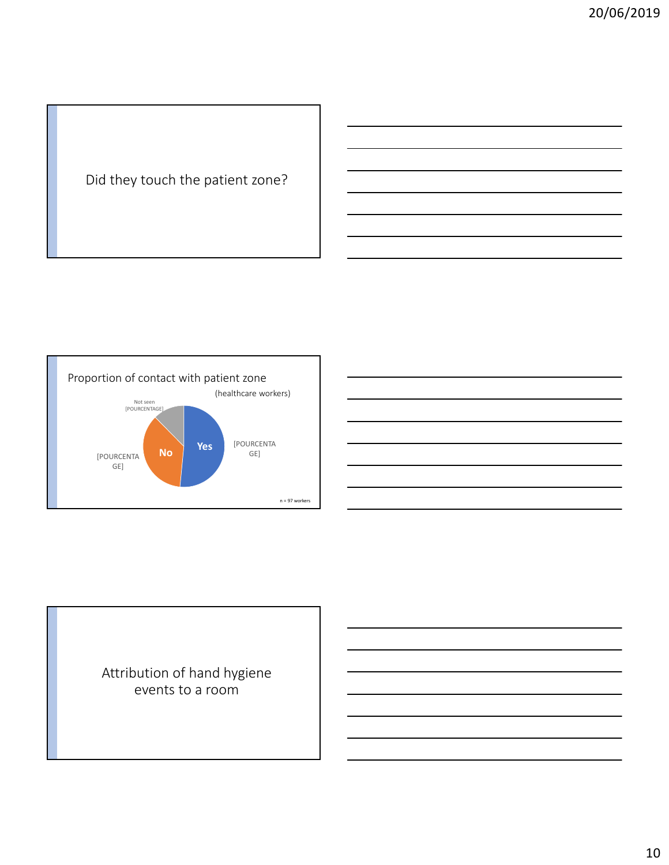## Did they touch the patient zone?





## Attribution of hand hygiene events to a room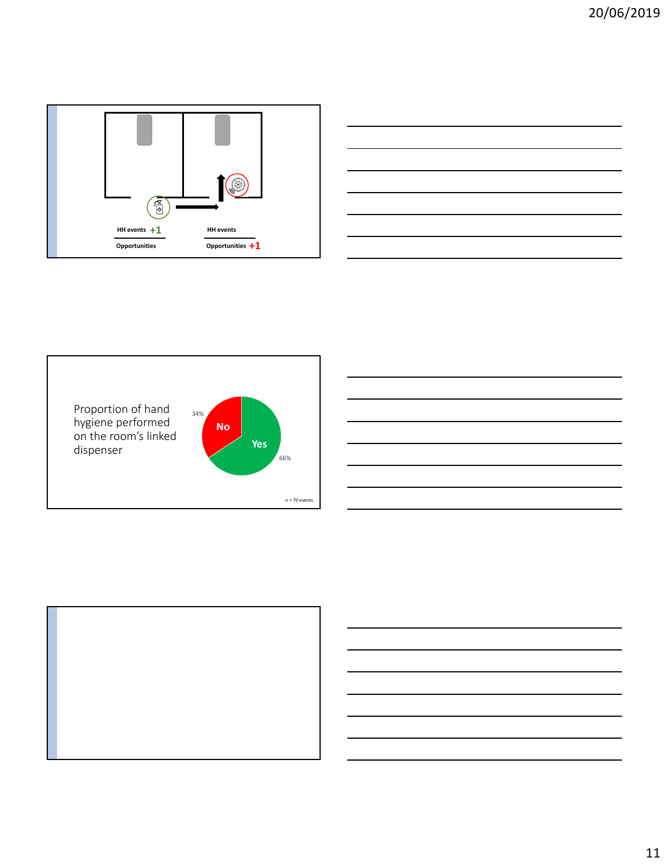





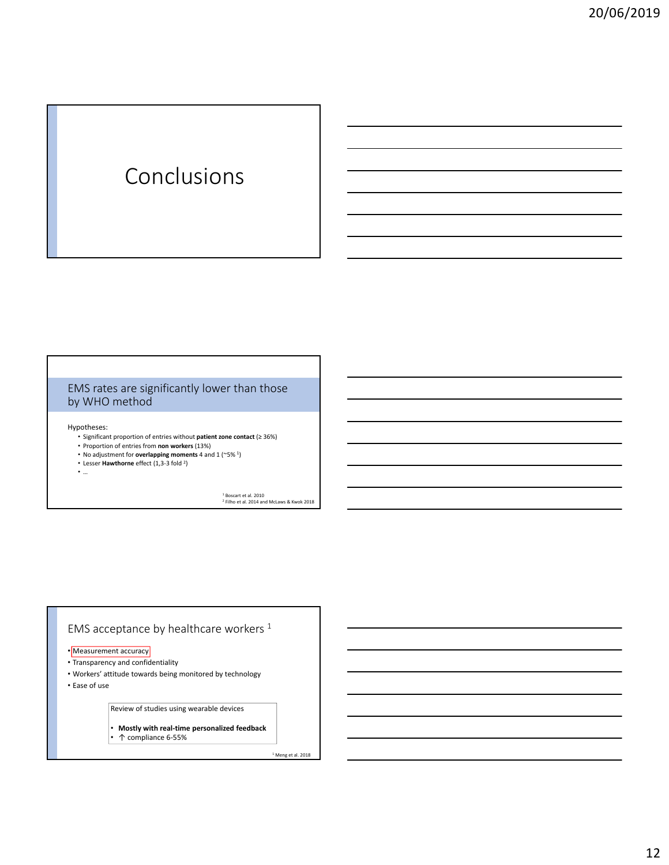# Conclusions

### EMS rates are significantly lower than those by WHO method

Hypotheses:

- Significant proportion of entries without **patient zone contact** (≥ 36%)
- Proportion of entries from **non workers** (13%)
- No adjustment for **overlapping moments** 4 and 1 (~5% 1)
- Lesser **Hawthorne** effect (1,3‐3 fold 2)
- …

<sup>1</sup> Boscart et al. 2010<br><sup>2</sup> Filho et al. 2014 and McLaws & Kwok 2018

### EMS acceptance by healthcare workers <sup>1</sup>

- Measurement accuracy
- Transparency and confidentiality
- Workers' attitude towards being monitored by technology

• Ease of use

Review of studies using wearable devices

• **Mostly with real‐time personalized feedback** • ↑ compliance 6‐55%

 $<sup>1</sup>$  Meng et al. 2018</sup>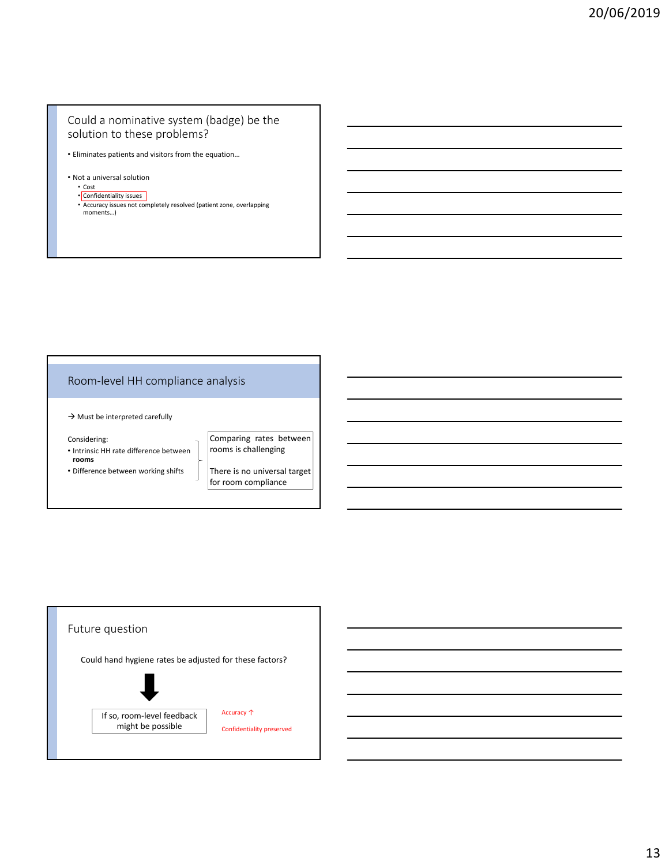#### Could a nominative system (badge) be the solution to these problems?

- Eliminates patients and visitors from the equation…
- Not a universal solution
	- Cost
	- Confidentiality issues
	- Accuracy issues not completely resolved (patient zone, overlapping moments…)

### Room‐level HH compliance analysis

 $\rightarrow$  Must be interpreted carefully

Considering:

- Intrinsic HH rate difference between **rooms**
- Difference between working shifts

Comparing rates between rooms is challenging

There is no universal target for room compliance

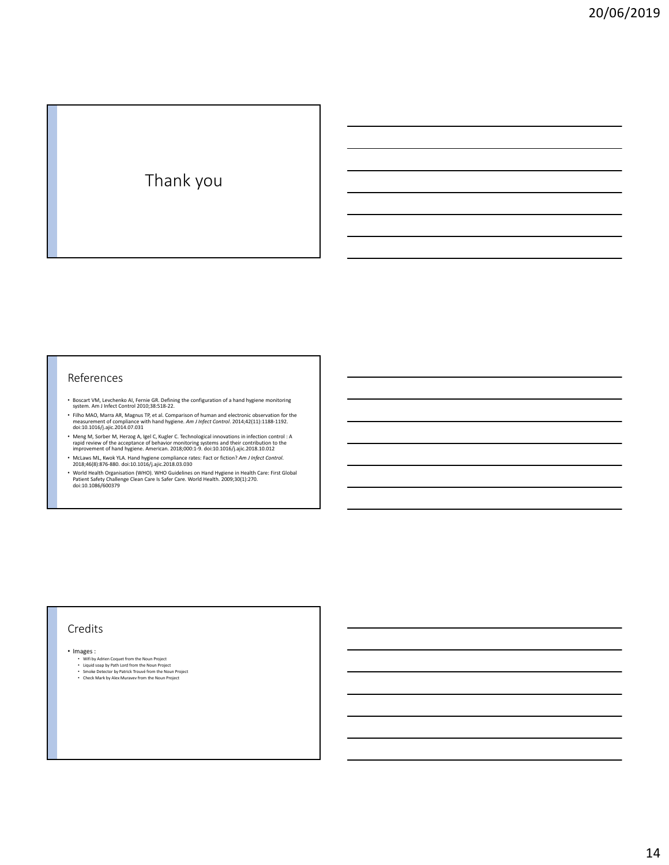# Thank you

#### References

- Boscart VM, Levchenko AI, Fernie GR. Defining the configuration of a hand hygiene monitoring system. Am J Infect Control 2010;38:518‐22.
- Filho MAO, Marra AR, Magnus TP, et al. Comparison of human and electronic observation for the<br>measurement of compliance with hand hygiene. Am J Infect Control. 2014;42(11):1188-1192.<br>doi:10.1016/j.ajic.2014.07.031
- Meng M, Sorber M, Herzog A, Igel C, Kugler C. Technological innovations in infection control : A<br>rapid review of the acceptance of behavior monitoring systems and their contribution to the<br>improvement of hand hygiene. Am
- McLaws ML, Kwok YLA. Hand hygiene compliance rates: Fact or fiction? *Am J Infect Control*. 2018;46(8):876‐880. doi:10.1016/j.ajic.2018.03.030
- World Health Organisation (WHO). WHO Guidelines on Hand Hygiene in Health Care: First Global Patient Safety Challenge Clean Care Is Safer Care. World Health. 2009;30(1):270. doi:10.1086/600379

#### Credits

- Images :
	-
	- Wifi by Adrien Coquet from the Noun Project<br>• Liquid soap by Path Lord from the Noun Project<br>• Smoke Detector by Patrick Trouvé from the Noun Project<br>• Check Mark by Alex Muravev from the Noun Project
	-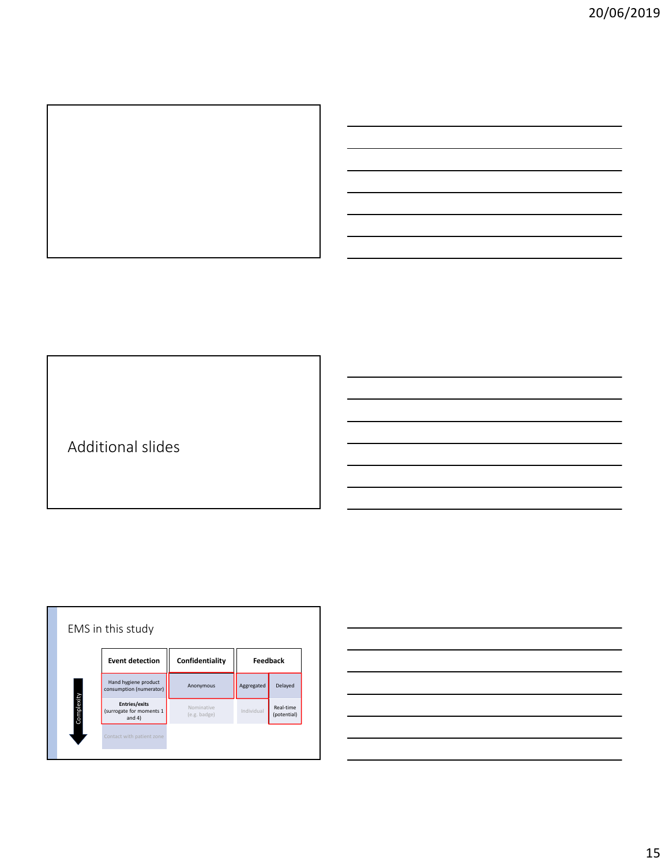

Additional slides



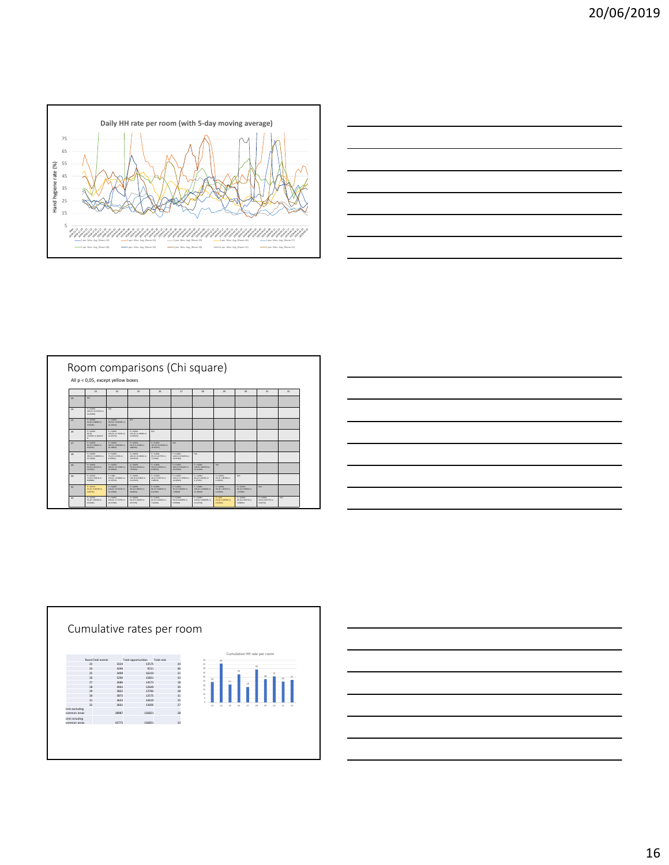



|    | All p < 0,05, except yellow boxes                          |                                                  |                                                |                                                    |                                                 |                                                         |                                                        |                                               |                                             |     |
|----|------------------------------------------------------------|--------------------------------------------------|------------------------------------------------|----------------------------------------------------|-------------------------------------------------|---------------------------------------------------------|--------------------------------------------------------|-----------------------------------------------|---------------------------------------------|-----|
|    | 21                                                         | 24                                               | 25                                             | 25                                                 | 27                                              | 28                                                      | 29                                                     | 30                                            | 32                                          | 32  |
| 21 | <b>N/A</b>                                                 |                                                  |                                                |                                                    |                                                 |                                                         |                                                        |                                               |                                             |     |
| 24 | P < 0.0001<br>22% (C) 28 7931% to<br>ZA DETANO             | n/h                                              |                                                |                                                    |                                                 |                                                         |                                                        |                                               |                                             |     |
| 25 | F < 0.0001<br><b>XN (C) 2.0000% to</b><br>Leases)          | P < 0.0001<br>21% ICI 23,80505 14<br>26.192191   | <b>N/A</b>                                     |                                                    |                                                 |                                                         |                                                        |                                               |                                             |     |
| 25 | F < 0.0001<br>9% (C)<br><b>ZATIVA to 10:1217</b><br>$\sim$ | P < 0.0005<br>13% (C) 11 2412% to<br>14,212753   | P < 0.0000<br>12% (C) 11,000% to<br>12,960093  | <b>N/A</b>                                         |                                                 |                                                         |                                                        |                                               |                                             |     |
| 27 | P < 0.0001<br>EN (CI S DOM/S 32)<br>6.732332               | P < 0.0001<br>28% TO 26 ROUDS 14<br>21.29093.0   | P < 0.0000<br>FR/C 2.11MN to<br>1,832257       | P < 0.0001<br>11% (C) 14.0 min to<br>11,959792     | N/A                                             |                                                         |                                                        |                                               |                                             |     |
| 28 | F < 0.0001<br>11% (C) 11,8890% to<br>35,1506Nil            | P < 0.0005<br>7% (C) % 678T% to<br>8.121092      | P < 0.0000<br>19% (C) 14-NOWN CO.<br>29.05KF63 | P < 0.0001<br>EN ED 6.8779% to<br>7,121892         | P < 0.0000<br>225 ICI DI MARINI SU<br>22.011993 | NA                                                      |                                                        |                                               |                                             |     |
| 29 | F < 0.0001<br><b>CN (C) 2.9611% to</b><br><b>SANNA</b>     | P < 0.0001<br>18% (C) 16, 73, 9% 14<br>11261011  | 4 < 0.0000<br>75/10 6 EDDEN 10<br>2,976(20)    | P < 0.0001<br>11 IO 1 MOVE to<br>6.0 MORTER        | 7 < 0.0000<br>10% (C) 9.0242% to<br>SO MYSTER   | P < 0.0001<br><b>JUN (C) NUMBER 14</b><br>12.185490     | n/a                                                    |                                               |                                             |     |
| 30 | P < 0.0001<br><b>7% (CI 5, 9082% b)</b><br>KONSENZ         | P < 0001<br>11% (C) 13,6982% to<br>16,297253     | P < 0.0000<br>DON (CLAIRTAIN) No.<br>11.002293 | $P = 0.0001$<br>2N ICI 0.9077% to<br><b>LORUSI</b> | P < 0.0000<br>STR ICI SS RENEW 14<br>14/020493  | P < 0.0001<br>8% ICI 6.8254% to<br><b>BATTER</b>        | P < 0.0001<br><b>JIN (C) 3 JUNTIFUL 20</b><br>4.302410 | N/A                                           |                                             |     |
| 32 | $P = 0.0112$<br>IN ICI -0 0090% to<br>2.00KFNJ             | P < 0.0001<br>225 (C) 15 76105 14<br>22.219763   | P < 0.0000<br><b>CHIC LONGIN 10</b><br>4.940EG | P < 0.0001<br><b>XX ICI 6, REGON, SO</b><br>101215 | 7 < 0.0000<br>76.03 6.060 FS 14<br>7.998330     | P < 0.0001<br>30% (C) 12,896 1% to<br><b>31, 300 km</b> | P < 0.0001<br><b>376 (C) 3, 973 276 30</b><br>4.026992 | P < 0.0005<br>6% (C) & K296% 1a<br>7.0706761  | <b>N/A</b>                                  |     |
| 12 | F < 0.0001<br>XX (C) 3.965676.50<br>casses)                | P < 0.0001<br>19% (C) 17, 20705 to<br>20.21793.1 | P < 0.0000<br>6% (C) 5.0252% to<br>4.97189     | P < 0.0001<br>EN ICI 6 MARIN 32<br><b>ZOSSWA</b>   | P < 0.0000<br>WE (C) K 02 NOW 14<br>a scopesi   | P < 0.0001<br>12% (C) 30,8971% to:<br>18.127330         | $7 - 0.06$<br>IN ICI COMPA to<br>2.055650              | 7 < 0.0005<br>ON ICI 2, NOS 7% 14<br>3.099330 | P < 0.0001<br>ZN ICI 0.9777N to<br>3.022793 | n/a |





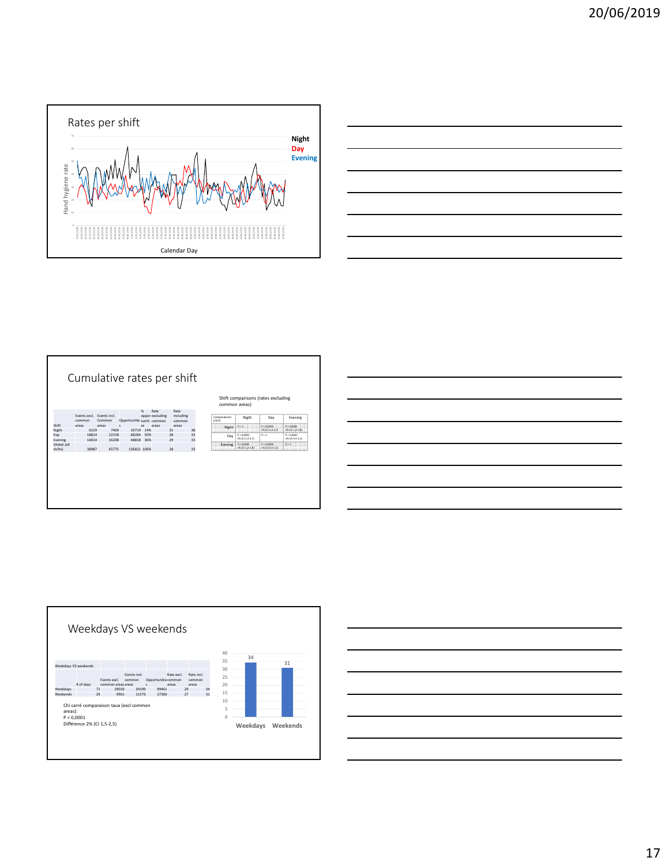